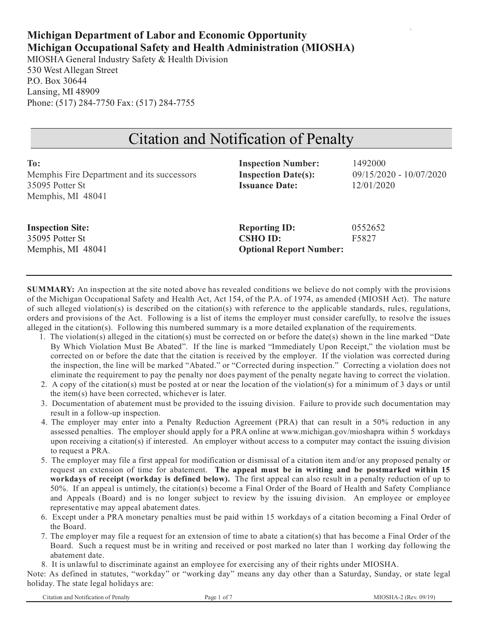# **Michigan Department of Labor and Economic Opportunity Michigan Occupational Safety and Health Administration (MIOSHA)**

MIOSHA General Industry Safety & Health Division 530 West Allegan Street P.O. Box 30644 Lansing, MI 48909 Phone: (517) 284-7750 Fax: (517) 284-7755

# Citation and Notification of Penalty

| To:                                        | <b>Inspection Number:</b>      | 1492000                   |
|--------------------------------------------|--------------------------------|---------------------------|
| Memphis Fire Department and its successors | <b>Inspection Date(s):</b>     | $09/15/2020 - 10/07/2020$ |
| 35095 Potter St                            | <b>Issuance Date:</b>          | 12/01/2020                |
| Memphis, MI 48041                          |                                |                           |
|                                            |                                |                           |
| <b>Inspection Site:</b>                    | <b>Reporting ID:</b>           | 0552652                   |
| 35095 Potter St                            | <b>CSHO ID:</b>                | F5827                     |
| Memphis, MI 48041                          | <b>Optional Report Number:</b> |                           |

**SUMMARY:** An inspection at the site noted above has revealed conditions we believe do not comply with the provisions of the Michigan Occupational Safety and Health Act, Act 154, of the P.A. of 1974, as amended (MIOSH Act). The nature of such alleged violation(s) is described on the citation(s) with reference to the applicable standards, rules, regulations, orders and provisions of the Act. Following is a list of items the employer must consider carefully, to resolve the issues alleged in the citation(s). Following this numbered summary is a more detailed explanation of the requirements.

- 1. The violation(s) alleged in the citation(s) must be corrected on or before the date(s) shown in the line marked "Date By Which Violation Must Be Abated". If the line is marked "Immediately Upon Receipt," the violation must be corrected on or before the date that the citation is received by the employer. If the violation was corrected during the inspection, the line will be marked "Abated." or "Corrected during inspection." Correcting a violation does not eliminate the requirement to pay the penalty nor does payment of the penalty negate having to correct the violation.
- 2. A copy of the citation(s) must be posted at or near the location of the violation(s) for a minimum of 3 days or until the item(s) have been corrected, whichever is later.
- 3. Documentation of abatement must be provided to the issuing division. Failure to provide such documentation may result in a follow-up inspection.
- 4. The employer may enter into a Penalty Reduction Agreement (PRA) that can result in a 50% reduction in any assessed penalties. The employer should apply for a PRA online at www.michigan.gov/mioshapra within 5 workdays upon receiving a citation(s) if interested. An employer without access to a computer may contact the issuing division to request a PRA.
- 5. The employer may file a first appeal for modification or dismissal of a citation item and/or any proposed penalty or request an extension of time for abatement. **The appeal must be in writing and be postmarked within 15 workdays of receipt (workday is defined below).** The first appeal can also result in a penalty reduction of up to 50%. If an appeal is untimely, the citation(s) become a Final Order of the Board of Health and Safety Compliance and Appeals (Board) and is no longer subject to review by the issuing division. An employee or employee representative may appeal abatement dates.
- 6. Except under a PRA monetary penalties must be paid within 15 workdays of a citation becoming a Final Order of the Board.
- 7. The employer may file a request for an extension of time to abate a citation(s) that has become a Final Order of the Board. Such a request must be in writing and received or post marked no later than 1 working day following the abatement date.
- 8. It is unlawful to discriminate against an employee for exercising any of their rights under MIOSHA.

Note: As defined in statutes, "workday" or "working day" means any day other than a Saturday, Sunday, or state legal holiday. The state legal holidays are: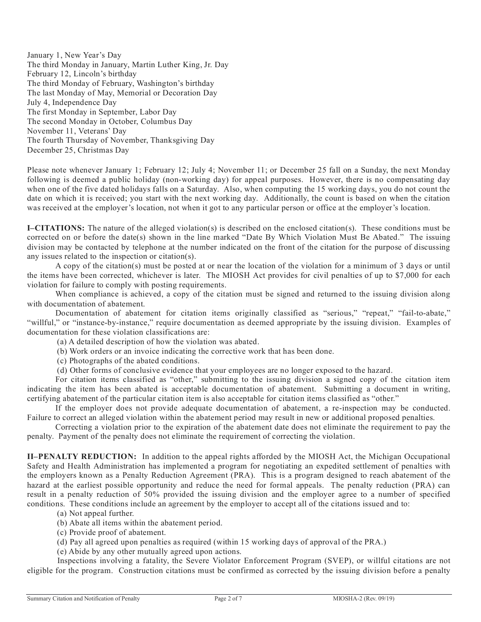January 1, New Year's Day The third Monday in January, Martin Luther King, Jr. Day February 12, Lincoln's birthday The third Monday of February, Washington's birthday The last Monday of May, Memorial or Decoration Day July 4, Independence Day The first Monday in September, Labor Day The second Monday in October, Columbus Day November 11, Veterans' Day The fourth Thursday of November, Thanksgiving Day December 25, Christmas Day

Please note whenever January 1; February 12; July 4; November 11; or December 25 fall on a Sunday, the next Monday following is deemed a public holiday (non-working day) for appeal purposes. However, there is no compensating day when one of the five dated holidays falls on a Saturday. Also, when computing the 15 working days, you do not count the date on which it is received; you start with the next working day. Additionally, the count is based on when the citation was received at the employer's location, not when it got to any particular person or office at the employer's location.

**I–CITATIONS:** The nature of the alleged violation(s) is described on the enclosed citation(s). These conditions must be corrected on or before the date(s) shown in the line marked "Date By Which Violation Must Be Abated." The issuing division may be contacted by telephone at the number indicated on the front of the citation for the purpose of discussing any issues related to the inspection or citation(s).

A copy of the citation(s) must be posted at or near the location of the violation for a minimum of 3 days or until the items have been corrected, whichever is later. The MIOSH Act provides for civil penalties of up to \$7,000 for each violation for failure to comply with posting requirements.

When compliance is achieved, a copy of the citation must be signed and returned to the issuing division along with documentation of abatement.

Documentation of abatement for citation items originally classified as "serious," "repeat," "fail-to-abate," "willful," or "instance-by-instance," require documentation as deemed appropriate by the issuing division. Examples of documentation for these violation classifications are:

(a) A detailed description of how the violation was abated.

- (b) Work orders or an invoice indicating the corrective work that has been done.
- (c) Photographs of the abated conditions.
- (d) Other forms of conclusive evidence that your employees are no longer exposed to the hazard.

For citation items classified as "other," submitting to the issuing division a signed copy of the citation item indicating the item has been abated is acceptable documentation of abatement. Submitting a document in writing, certifying abatement of the particular citation item is also acceptable for citation items classified as "other."

If the employer does not provide adequate documentation of abatement, a re-inspection may be conducted. Failure to correct an alleged violation within the abatement period may result in new or additional proposed penalties.

Correcting a violation prior to the expiration of the abatement date does not eliminate the requirement to pay the penalty. Payment of the penalty does not eliminate the requirement of correcting the violation.

**II–PENALTY REDUCTION:** In addition to the appeal rights afforded by the MIOSH Act, the Michigan Occupational Safety and Health Administration has implemented a program for negotiating an expedited settlement of penalties with the employers known as a Penalty Reduction Agreement (PRA). This is a program designed to reach abatement of the hazard at the earliest possible opportunity and reduce the need for formal appeals. The penalty reduction (PRA) can result in a penalty reduction of 50% provided the issuing division and the employer agree to a number of specified conditions. These conditions include an agreement by the employer to accept all of the citations issued and to:

- (a) Not appeal further.
- (b) Abate all items within the abatement period.
- (c) Provide proof of abatement.
- (d) Pay all agreed upon penalties as required (within 15 working days of approval of the PRA.)
- (e) Abide by any other mutually agreed upon actions.

Inspections involving a fatality, the Severe Violator Enforcement Program (SVEP), or willful citations are not eligible for the program. Construction citations must be confirmed as corrected by the issuing division before a penalty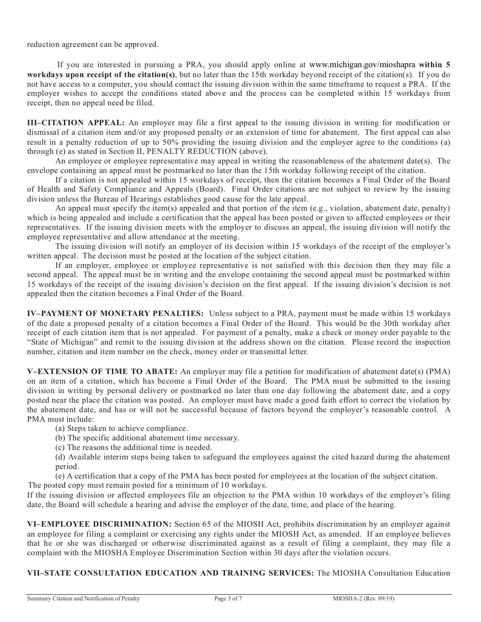reduction agreement can be approved.

If you are interested in pursuing a PRA, you should apply online at www.michigan.gov/mioshapra **within 5 workdays upon receipt of the citation(s)**, but no later than the 15th workday beyond receipt of the citation(s). If you do not have access to a computer, you should contact the issuing division within the same timeframe to request a PRA. If the employer wishes to accept the conditions stated above and the process can be completed within 15 workdays from receipt, then no appeal need be filed.

**III–CITATION APPEAL:** An employer may file a first appeal to the issuing division in writing for modification or dismissal of a citation item and/or any proposed penalty or an extension of time for abatement. The first appeal can also result in a penalty reduction of up to 50% providing the issuing division and the employer agree to the conditions (a) through (e) as stated in Section II, PENALTY REDUCTION (above).

An employee or employee representative may appeal in writing the reasonableness of the abatement date(s). The envelope containing an appeal must be postmarked no later than the 15th workday following receipt of the citation.

If a citation is not appealed within 15 workdays of receipt, then the citation becomes a Final Order of the Board of Health and Safety Compliance and Appeals (Board). Final Order citations are not subject to review by the issuing division unless the Bureau of Hearings establishes good cause for the late appeal.

An appeal must specify the item(s) appealed and that portion of the item (e.g., violation, abatement date, penalty) which is being appealed and include a certification that the appeal has been posted or given to affected employees or their representatives. If the issuing division meets with the employer to discuss an appeal, the issuing division will notify the employee representative and allow attendance at the meeting.

The issuing division will notify an employer of its decision within 15 workdays of the receipt of the employer's written appeal. The decision must be posted at the location of the subject citation.

If an employer, employee or employee representative is not satisfied with this decision then they may file a second appeal. The appeal must be in writing and the envelope containing the second appeal must be postmarked within 15 workdays of the receipt of the issuing division's decision on the first appeal. If the issuing division's decision is not appealed then the citation becomes a Final Order of the Board.

**IV–PAYMENT OF MONETARY PENALTIES:** Unless subject to a PRA, payment must be made within 15 workdays of the date a proposed penalty of a citation becomes a Final Order of the Board. This would be the 30th workday after receipt of each citation item that is not appealed. For payment of a penalty, make a check or money order payable to the "State of Michigan" and remit to the issuing division at the address shown on the citation. Please record the inspection number, citation and item number on the check, money order or transmittal letter.

**V–EXTENSION OF TIME TO ABATE:** An employer may file a petition for modification of abatement date(s) (PMA) on an item of a citation, which has become a Final Order of the Board. The PMA must be submitted to the issuing division in writing by personal delivery or postmarked no later than one day following the abatement date, and a copy posted near the place the citation was posted. An employer must have made a good faith effort to correct the violation by the abatement date, and has or will not be successful because of factors beyond the employer's reasonable control. A PMA must include:

(a) Steps taken to achieve compliance.

(b) The specific additional abatement time necessary.

(c) The reasons the additional time is needed.

(d) Available interim steps being taken to safeguard the employees against the cited hazard during the abatement period.

(e) A certification that a copy of the PMA has been posted for employees at the location of the subject citation. The posted copy must remain posted for a minimum of 10 workdays.

If the issuing division or affected employees file an objection to the PMA within 10 workdays of the employer's filing date, the Board will schedule a hearing and advise the employer of the date, time, and place of the hearing.

**VI–EMPLOYEE DISCRIMINATION:** Section 65 of the MIOSH Act, prohibits discrimination by an employer against an employee for filing a complaint or exercising any rights under the MIOSH Act, as amended. If an employee believes that he or she was discharged or otherwise discriminated against as a result of filing a complaint, they may file a complaint with the MIOSHA Employee Discrimination Section within 30 days after the violation occurs.

**VII–STATE CONSULTATION EDUCATION AND TRAINING SERVICES:** The MIOSHA Consultation Education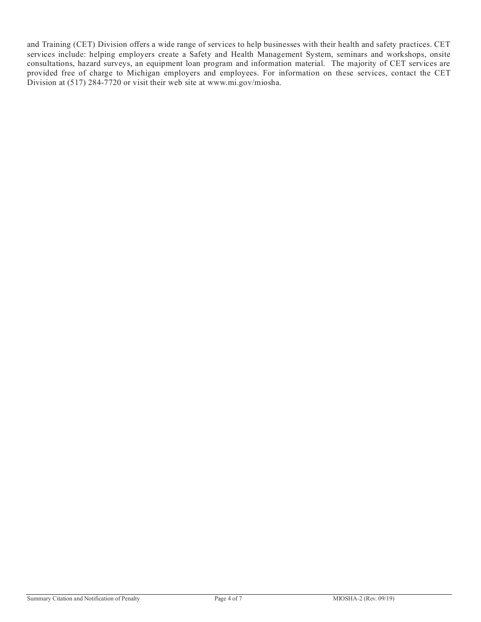and Training (CET) Division offers a wide range of services to help businesses with their health and safety practices. CET services include: helping employers create a Safety and Health Management System, seminars and workshops, onsite consultations, hazard surveys, an equipment loan program and information material. The majority of CET services are provided free of charge to Michigan employers and employees. For information on these services, contact the CET Division at (517) 284-7720 or visit their web site at www.mi.gov/miosha.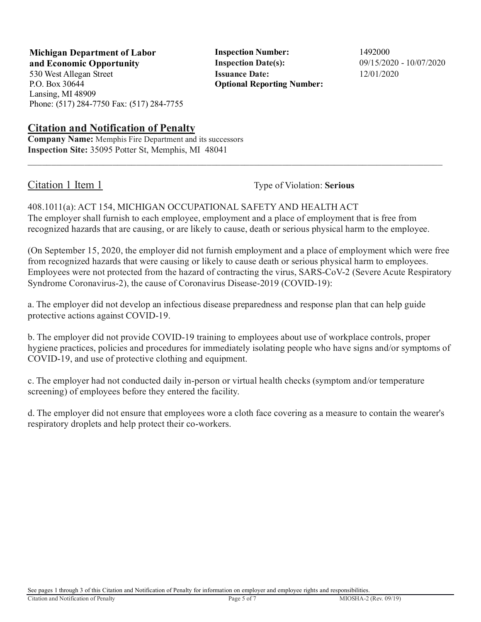**Michigan Department of Labor Inspection Number:** 1492000 **and Economic Opportunity Inspection Date(s):** 09/15/2020 - 10/07/2020

P.O. Box 30644 Lansing, MI 48909 Phone: (517) 284-7750 Fax: (517) 284-7755

## **Citation and Notification of Penalty**

**Company Name:** Memphis Fire Department and its successors **Inspection Site:** 35095 Potter St, Memphis, MI 48041

530 West Allegan Street **Issuance Date:** 12/01/2020 **Optional Reporting Number:** 

Citation 1 Item 1 Type of Violation: **Serious** 

408.1011(a): ACT 154, MICHIGAN OCCUPATIONAL SAFETY AND HEALTH ACT The employer shall furnish to each employee, employment and a place of employment that is free from recognized hazards that are causing, or are likely to cause, death or serious physical harm to the employee.

 $\_$  ,  $\_$  ,  $\_$  ,  $\_$  ,  $\_$  ,  $\_$  ,  $\_$  ,  $\_$  ,  $\_$  ,  $\_$  ,  $\_$  ,  $\_$  ,  $\_$  ,  $\_$  ,  $\_$  ,  $\_$  ,  $\_$  ,  $\_$  ,  $\_$  ,  $\_$  ,  $\_$  ,  $\_$  ,  $\_$  ,  $\_$  ,  $\_$  ,  $\_$  ,  $\_$  ,  $\_$  ,  $\_$  ,  $\_$  ,  $\_$  ,  $\_$  ,  $\_$  ,  $\_$  ,  $\_$  ,  $\_$  ,  $\_$  ,

(On September 15, 2020, the employer did not furnish employment and a place of employment which were free from recognized hazards that were causing or likely to cause death or serious physical harm to employees. Employees were not protected from the hazard of contracting the virus, SARS-CoV-2 (Severe Acute Respiratory Syndrome Coronavirus-2), the cause of Coronavirus Disease-2019 (COVID-19):

a. The employer did not develop an infectious disease preparedness and response plan that can help guide protective actions against COVID-19.

b. The employer did not provide COVID-19 training to employees about use of workplace controls, proper hygiene practices, policies and procedures for immediately isolating people who have signs and/or symptoms of COVID-19, and use of protective clothing and equipment.

c. The employer had not conducted daily in-person or virtual health checks (symptom and/or temperature screening) of employees before they entered the facility.

d. The employer did not ensure that employees wore a cloth face covering as a measure to contain the wearer's respiratory droplets and help protect their co-workers.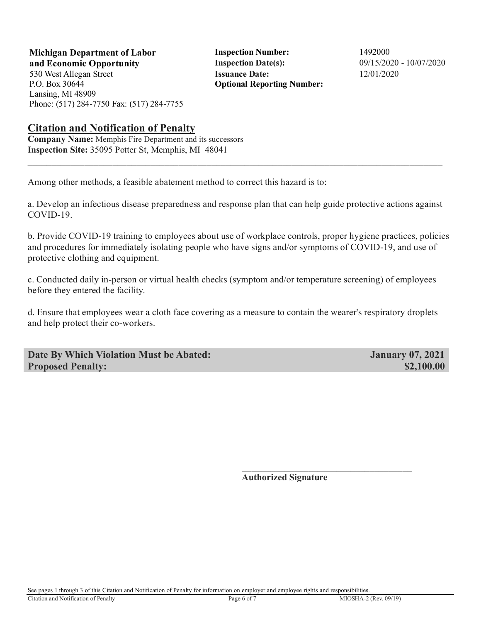**Michigan Department of Labor** Inspection Number: 1492000 **and Economic Opportunity Inspection Date(s):** 09/15/2020 - 10/07/2020

P.O. Box 30644 Lansing, MI 48909 Phone: (517) 284-7750 Fax: (517) 284-7755

530 West Allegan Street **Issuance Date:** 12/01/2020 **Optional Reporting Number:** 

### **Citation and Notification of Penalty**

**Company Name:** Memphis Fire Department and its successors **Inspection Site:** 35095 Potter St, Memphis, MI 48041

Among other methods, a feasible abatement method to correct this hazard is to:

a. Develop an infectious disease preparedness and response plan that can help guide protective actions against COVID-19.

 $\_$  ,  $\_$  ,  $\_$  ,  $\_$  ,  $\_$  ,  $\_$  ,  $\_$  ,  $\_$  ,  $\_$  ,  $\_$  ,  $\_$  ,  $\_$  ,  $\_$  ,  $\_$  ,  $\_$  ,  $\_$  ,  $\_$  ,  $\_$  ,  $\_$  ,  $\_$  ,  $\_$  ,  $\_$  ,  $\_$  ,  $\_$  ,  $\_$  ,  $\_$  ,  $\_$  ,  $\_$  ,  $\_$  ,  $\_$  ,  $\_$  ,  $\_$  ,  $\_$  ,  $\_$  ,  $\_$  ,  $\_$  ,  $\_$  ,

b. Provide COVID-19 training to employees about use of workplace controls, proper hygiene practices, policies and procedures for immediately isolating people who have signs and/or symptoms of COVID-19, and use of protective clothing and equipment.

c. Conducted daily in-person or virtual health checks (symptom and/or temperature screening) of employees before they entered the facility.

d. Ensure that employees wear a cloth face covering as a measure to contain the wearer's respiratory droplets and help protect their co-workers.

 $\mathcal{L}_\text{max}$  and  $\mathcal{L}_\text{max}$  and  $\mathcal{L}_\text{max}$  and  $\mathcal{L}_\text{max}$  and  $\mathcal{L}_\text{max}$  and  $\mathcal{L}_\text{max}$ 

**Date By Which Violation Must be Abated: January 07, 2021 Proposed Penalty:**  $$2,100.00$ 

**Authorized Signature**